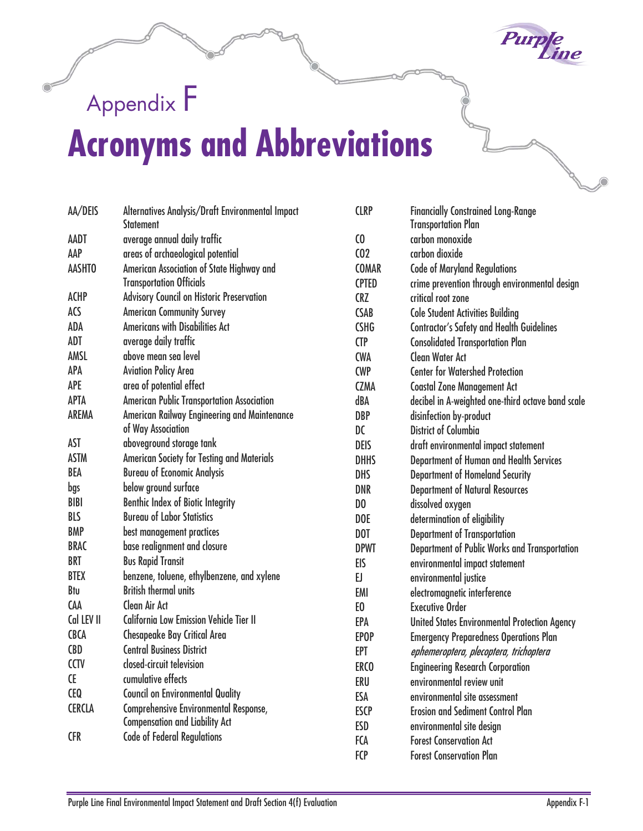

## Appendix F **Acronyms and Abbreviations**

| AA/DEIS       | Alternatives Analysis/Draft Environmental Impact<br><b>Statement</b> | <b>CLRP</b>     | <b>Financially Constrained Long-Range</b><br><b>Transportation Plan</b> |
|---------------|----------------------------------------------------------------------|-----------------|-------------------------------------------------------------------------|
| AADT          | average annual daily traffic                                         | $\omega$        | carbon monoxide                                                         |
| AAP           | areas of archaeological potential                                    | C <sub>02</sub> | carbon dioxide                                                          |
| <b>AASHTO</b> | American Association of State Highway and                            | <b>COMAR</b>    | <b>Code of Maryland Regulations</b>                                     |
|               | <b>Transportation Officials</b>                                      | <b>CPTED</b>    | crime prevention through environmental design                           |
| <b>ACHP</b>   | <b>Advisory Council on Historic Preservation</b>                     | <b>CRZ</b>      | critical root zone                                                      |
| ACS           | <b>American Community Survey</b>                                     | <b>CSAB</b>     | <b>Cole Student Activities Building</b>                                 |
| ADA           | <b>Americans with Disabilities Act</b>                               | <b>CSHG</b>     | <b>Contractor's Safety and Health Guidelines</b>                        |
| <b>ADT</b>    | average daily traffic                                                | <b>CTP</b>      | <b>Consolidated Transportation Plan</b>                                 |
| AMSL          | above mean sea level                                                 | <b>CWA</b>      | <b>Clean Water Act</b>                                                  |
| APA           | <b>Aviation Policy Area</b>                                          | <b>CWP</b>      | <b>Center for Watershed Protection</b>                                  |
| <b>APE</b>    | area of potential effect                                             | <b>CZMA</b>     | <b>Coastal Zone Management Act</b>                                      |
| <b>APTA</b>   | American Public Transportation Association                           | dBA             | decibel in A-weighted one-third octave band scale                       |
| AREMA         | American Railway Engineering and Maintenance                         | <b>DBP</b>      | disinfection by-product                                                 |
|               | of Way Association                                                   | DC              | <b>District of Columbia</b>                                             |
| <b>AST</b>    | aboveground storage tank                                             | <b>DEIS</b>     | draft environmental impact statement                                    |
| <b>ASTM</b>   | <b>American Society for Testing and Materials</b>                    | <b>DHHS</b>     | Department of Human and Health Services                                 |
| <b>BEA</b>    | <b>Bureau of Economic Analysis</b>                                   | <b>DHS</b>      | <b>Department of Homeland Security</b>                                  |
| bgs           | below ground surface                                                 | <b>DNR</b>      | <b>Department of Natural Resources</b>                                  |
| <b>BIBI</b>   | <b>Benthic Index of Biotic Integrity</b>                             | D <sub>0</sub>  | dissolved oxygen                                                        |
| <b>BLS</b>    | <b>Bureau of Labor Statistics</b>                                    | <b>DOE</b>      | determination of eligibility                                            |
| <b>BMP</b>    | best management practices                                            | DOT             | <b>Department of Transportation</b>                                     |
| <b>BRAC</b>   | base realignment and closure                                         | <b>DPWT</b>     | Department of Public Works and Transportation                           |
| <b>BRT</b>    | <b>Bus Rapid Transit</b>                                             | EIS             | environmental impact statement                                          |
| <b>BTEX</b>   | benzene, toluene, ethylbenzene, and xylene                           | EJ.             | environmental justice                                                   |
| Btu           | <b>British thermal units</b>                                         | <b>EMI</b>      | electromagnetic interference                                            |
| <b>CAA</b>    | <b>Clean Air Act</b>                                                 | E <sub>0</sub>  | <b>Executive Order</b>                                                  |
| Cal LEV II    | <b>California Low Emission Vehicle Tier II</b>                       | EPA             | <b>United States Environmental Protection Agency</b>                    |
| <b>CBCA</b>   | <b>Chesapeake Bay Critical Area</b>                                  | <b>EPOP</b>     | <b>Emergency Preparedness Operations Plan</b>                           |
| <b>CBD</b>    | <b>Central Business District</b>                                     | <b>EPT</b>      | ephemeroptera, plecoptera, trichoptera                                  |
| <b>CCTV</b>   | closed-circuit television                                            | ERCO            | <b>Engineering Research Corporation</b>                                 |
| <b>CE</b>     | cumulative effects                                                   | ERU             | environmental review unit                                               |
| <b>CEQ</b>    | <b>Council on Environmental Quality</b>                              | ESA             | environmental site assessment                                           |
| <b>CERCLA</b> | <b>Comprehensive Environmental Response,</b>                         | <b>ESCP</b>     | <b>Erosion and Sediment Control Plan</b>                                |
|               | <b>Compensation and Liability Act</b>                                | <b>ESD</b>      | environmental site design                                               |
| <b>CFR</b>    | <b>Code of Federal Regulations</b>                                   | <b>FCA</b>      | <b>Forest Conservation Act</b>                                          |
|               |                                                                      | <b>FCP</b>      | <b>Forest Conservation Plan</b>                                         |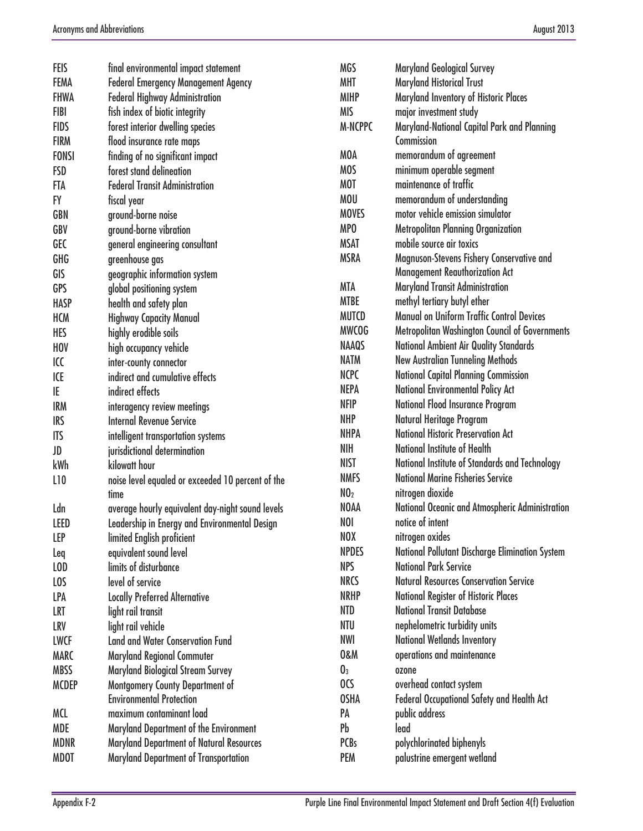| <b>FEIS</b>  | final environmental impact statement              | <b>MGS</b>      | <b>Maryland Geological Survey</b>                 |
|--------------|---------------------------------------------------|-----------------|---------------------------------------------------|
| <b>FEMA</b>  | <b>Federal Emergency Management Agency</b>        | <b>MHT</b>      | <b>Maryland Historical Trust</b>                  |
| <b>FHWA</b>  | <b>Federal Highway Administration</b>             | <b>MIHP</b>     | Maryland Inventory of Historic Places             |
| <b>FIBI</b>  | fish index of biotic integrity                    | <b>MIS</b>      | major investment study                            |
| <b>FIDS</b>  | forest interior dwelling species                  | <b>M-NCPPC</b>  | Maryland-National Capital Park and Planning       |
| <b>FIRM</b>  | flood insurance rate maps                         |                 | Commission                                        |
| <b>FONSI</b> | finding of no significant impact                  | <b>MOA</b>      | memorandum of agreement                           |
| <b>FSD</b>   | forest stand delineation                          | <b>MOS</b>      | minimum operable segment                          |
| <b>FTA</b>   | <b>Federal Transit Administration</b>             | <b>MOT</b>      | maintenance of traffic                            |
| <b>FY</b>    | fiscal year                                       | <b>MOU</b>      | memorandum of understanding                       |
| <b>GBN</b>   | ground-borne noise                                | <b>MOVES</b>    | motor vehicle emission simulator                  |
| GBV          | ground-borne vibration                            | MP <sub>0</sub> | <b>Metropolitan Planning Organization</b>         |
| <b>GEC</b>   | general engineering consultant                    | <b>MSAT</b>     | mobile source air toxics                          |
| GHG          | greenhouse gas                                    | <b>MSRA</b>     | Magnuson-Stevens Fishery Conservative and         |
| GIS          | geographic information system                     |                 | <b>Management Reauthorization Act</b>             |
| <b>GPS</b>   | global positioning system                         | <b>MTA</b>      | <b>Maryland Transit Administration</b>            |
| <b>HASP</b>  | health and safety plan                            | <b>MTBE</b>     | methyl tertiary butyl ether                       |
| <b>HCM</b>   | <b>Highway Capacity Manual</b>                    | <b>MUTCD</b>    | <b>Manual on Uniform Traffic Control Devices</b>  |
| <b>HES</b>   | highly erodible soils                             | <b>MWCOG</b>    | Metropolitan Washington Council of Governments    |
| <b>HOV</b>   | high occupancy vehicle                            | <b>NAAQS</b>    | <b>National Ambient Air Quality Standards</b>     |
| ICC          | inter-county connector                            | <b>NATM</b>     | <b>New Australian Tunneling Methods</b>           |
| ICE          | indirect and cumulative effects                   | <b>NCPC</b>     | <b>National Capital Planning Commission</b>       |
| IE           | indirect effects                                  | <b>NEPA</b>     | <b>National Environmental Policy Act</b>          |
| <b>IRM</b>   | interagency review meetings                       | <b>NFIP</b>     | <b>National Flood Insurance Program</b>           |
| <b>IRS</b>   | <b>Internal Revenue Service</b>                   | <b>NHP</b>      | Natural Heritage Program                          |
| <b>ITS</b>   | intelligent transportation systems                | <b>NHPA</b>     | <b>National Historic Preservation Act</b>         |
| JD           | jurisdictional determination                      | <b>NIH</b>      | National Institute of Health                      |
| kWh          | kilowatt hour                                     | <b>NIST</b>     | National Institute of Standards and Technology    |
| L10          | noise level equaled or exceeded 10 percent of the | <b>NMFS</b>     | <b>National Marine Fisheries Service</b>          |
|              | time                                              | NO <sub>2</sub> | nitrogen dioxide                                  |
| Ldn          | average hourly equivalent day-night sound levels  | <b>NOAA</b>     | National Oceanic and Atmospheric Administration   |
| <b>LEED</b>  | Leadership in Energy and Environmental Design     | <b>NOI</b>      | notice of intent                                  |
| <b>LEP</b>   | limited English proficient                        | NOX             | nitrogen oxides                                   |
| Leq          | equivalent sound level                            | <b>NPDES</b>    | National Pollutant Discharge Elimination System   |
| LOD          | limits of disturbance                             | <b>NPS</b>      | <b>National Park Service</b>                      |
| LOS          | level of service                                  | <b>NRCS</b>     | <b>Natural Resources Conservation Service</b>     |
| <b>LPA</b>   | <b>Locally Preferred Alternative</b>              | <b>NRHP</b>     | <b>National Register of Historic Places</b>       |
| LRT          | light rail transit                                | <b>NTD</b>      | <b>National Transit Database</b>                  |
| <b>LRV</b>   | light rail vehicle                                | NTU             | nephelometric turbidity units                     |
| <b>LWCF</b>  | <b>Land and Water Conservation Fund</b>           | <b>NWI</b>      | <b>National Wetlands Inventory</b>                |
| <b>MARC</b>  | <b>Maryland Regional Commuter</b>                 | <b>0&amp;M</b>  | operations and maintenance                        |
| <b>MBSS</b>  | <b>Maryland Biological Stream Survey</b>          | $\mathbf{0}_3$  | ozone                                             |
| <b>MCDEP</b> | Montgomery County Department of                   | OCS             | overhead contact system                           |
|              | <b>Environmental Protection</b>                   | <b>OSHA</b>     | <b>Federal Occupational Safety and Health Act</b> |
| <b>MCL</b>   | maximum contaminant load                          | PA              | public address                                    |
| <b>MDE</b>   | Maryland Department of the Environment            | Pb              | lead                                              |
| <b>MDNR</b>  | <b>Maryland Department of Natural Resources</b>   | <b>PCBs</b>     | polychlorinated biphenyls                         |
| <b>MDOT</b>  | Maryland Department of Transportation             | <b>PEM</b>      | palustrine emergent wetland                       |
|              |                                                   |                 |                                                   |